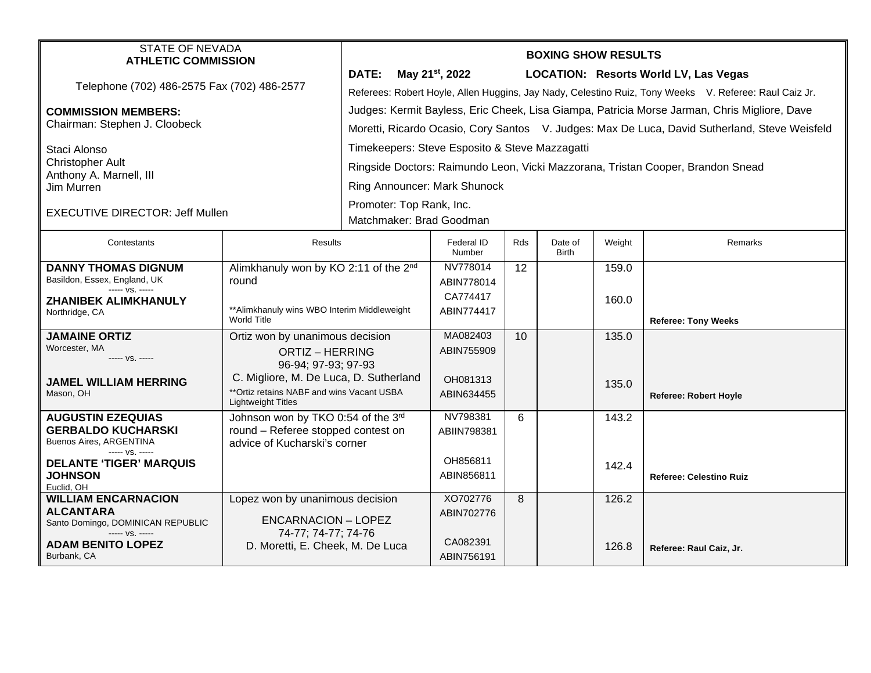| <b>STATE OF NEVADA</b>                                                                                                                    |                                                                        | <b>BOXING SHOW RESULTS</b>                                                                            |                        |            |                         |        |                                |  |  |
|-------------------------------------------------------------------------------------------------------------------------------------------|------------------------------------------------------------------------|-------------------------------------------------------------------------------------------------------|------------------------|------------|-------------------------|--------|--------------------------------|--|--|
| <b>ATHLETIC COMMISSION</b>                                                                                                                |                                                                        |                                                                                                       |                        |            |                         |        |                                |  |  |
| Telephone (702) 486-2575 Fax (702) 486-2577                                                                                               |                                                                        | DATE:<br>May 21 <sup>st</sup> , 2022<br><b>LOCATION: Resorts World LV, Las Vegas</b>                  |                        |            |                         |        |                                |  |  |
|                                                                                                                                           |                                                                        | Referees: Robert Hoyle, Allen Huggins, Jay Nady, Celestino Ruiz, Tony Weeks V. Referee: Raul Caiz Jr. |                        |            |                         |        |                                |  |  |
| <b>COMMISSION MEMBERS:</b><br>Chairman: Stephen J. Cloobeck                                                                               |                                                                        | Judges: Kermit Bayless, Eric Cheek, Lisa Giampa, Patricia Morse Jarman, Chris Migliore, Dave          |                        |            |                         |        |                                |  |  |
|                                                                                                                                           |                                                                        | Moretti, Ricardo Ocasio, Cory Santos V. Judges: Max De Luca, David Sutherland, Steve Weisfeld         |                        |            |                         |        |                                |  |  |
| Staci Alonso<br><b>Christopher Ault</b>                                                                                                   |                                                                        | Timekeepers: Steve Esposito & Steve Mazzagatti                                                        |                        |            |                         |        |                                |  |  |
|                                                                                                                                           |                                                                        | Ringside Doctors: Raimundo Leon, Vicki Mazzorana, Tristan Cooper, Brandon Snead                       |                        |            |                         |        |                                |  |  |
| Anthony A. Marnell, III<br>Jim Murren                                                                                                     |                                                                        | Ring Announcer: Mark Shunock                                                                          |                        |            |                         |        |                                |  |  |
| <b>EXECUTIVE DIRECTOR: Jeff Mullen</b>                                                                                                    |                                                                        | Promoter: Top Rank, Inc.                                                                              |                        |            |                         |        |                                |  |  |
|                                                                                                                                           |                                                                        | Matchmaker: Brad Goodman                                                                              |                        |            |                         |        |                                |  |  |
| Contestants                                                                                                                               | <b>Results</b>                                                         |                                                                                                       | Federal ID<br>Number   | <b>Rds</b> | Date of<br><b>Birth</b> | Weight | Remarks                        |  |  |
| <b>DANNY THOMAS DIGNUM</b><br>Alimkhanuly won by KO 2:11 of the 2 <sup>nd</sup><br>Basildon, Essex, England, UK<br>round<br>$--- VS. ---$ |                                                                        |                                                                                                       | NV778014               | 12         |                         | 159.0  |                                |  |  |
|                                                                                                                                           |                                                                        |                                                                                                       | ABIN778014             |            |                         |        |                                |  |  |
| <b>ZHANIBEK ALIMKHANULY</b>                                                                                                               | ** Alimkhanuly wins WBO Interim Middleweight<br><b>World Title</b>     |                                                                                                       | CA774417               |            |                         | 160.0  |                                |  |  |
| Northridge, CA                                                                                                                            |                                                                        |                                                                                                       | ABIN774417             |            |                         |        | <b>Referee: Tony Weeks</b>     |  |  |
| <b>JAMAINE ORTIZ</b>                                                                                                                      | Ortiz won by unanimous decision                                        |                                                                                                       | MA082403               | 10         |                         | 135.0  |                                |  |  |
| Worcester, MA<br>----- VS. -----                                                                                                          | <b>ORTIZ - HERRING</b>                                                 |                                                                                                       | ABIN755909             |            |                         |        |                                |  |  |
|                                                                                                                                           | 96-94; 97-93; 97-93                                                    |                                                                                                       |                        |            |                         |        |                                |  |  |
| <b>JAMEL WILLIAM HERRING</b>                                                                                                              | C. Migliore, M. De Luca, D. Sutherland                                 |                                                                                                       | OH081313               |            |                         | 135.0  |                                |  |  |
| Mason, OH                                                                                                                                 | **Ortiz retains NABF and wins Vacant USBA<br><b>Lightweight Titles</b> |                                                                                                       | ABIN634455             |            |                         |        | <b>Referee: Robert Hoyle</b>   |  |  |
| <b>AUGUSTIN EZEQUIAS</b>                                                                                                                  | Johnson won by TKO 0:54 of the 3rd                                     |                                                                                                       | NV798381               | 6          |                         | 143.2  |                                |  |  |
| <b>GERBALDO KUCHARSKI</b><br><b>Buenos Aires, ARGENTINA</b>                                                                               | round - Referee stopped contest on<br>advice of Kucharski's corner     |                                                                                                       | ABIIN798381            |            |                         |        |                                |  |  |
| ----- VS. -----                                                                                                                           |                                                                        |                                                                                                       |                        |            |                         |        |                                |  |  |
| <b>DELANTE 'TIGER' MARQUIS</b>                                                                                                            |                                                                        |                                                                                                       | OH856811               |            |                         | 142.4  |                                |  |  |
| <b>JOHNSON</b><br>Euclid, OH                                                                                                              |                                                                        |                                                                                                       | ABIN856811             |            |                         |        | <b>Referee: Celestino Ruiz</b> |  |  |
| <b>WILLIAM ENCARNACION</b>                                                                                                                | Lopez won by unanimous decision                                        |                                                                                                       | XO702776               | 8          |                         | 126.2  |                                |  |  |
| <b>ALCANTARA</b><br>Santo Domingo, DOMINICAN REPUBLIC                                                                                     | <b>ENCARNACION - LOPEZ</b>                                             |                                                                                                       | ABIN702776             |            |                         |        |                                |  |  |
| ----- VS. -----                                                                                                                           | 74-77; 74-77; 74-76                                                    |                                                                                                       |                        |            |                         |        |                                |  |  |
| ADAM BENITO LOPEZ<br>Burbank, CA                                                                                                          | D. Moretti, E. Cheek, M. De Luca                                       |                                                                                                       | CA082391<br>ABIN756191 |            |                         | 126.8  | Referee: Raul Caiz, Jr.        |  |  |